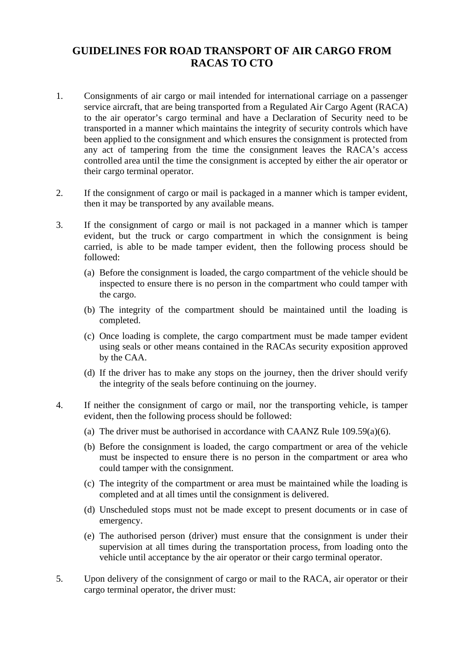## **GUIDELINES FOR ROAD TRANSPORT OF AIR CARGO FROM RACAS TO CTO**

- 1. Consignments of air cargo or mail intended for international carriage on a passenger service aircraft, that are being transported from a Regulated Air Cargo Agent (RACA) to the air operator's cargo terminal and have a Declaration of Security need to be transported in a manner which maintains the integrity of security controls which have been applied to the consignment and which ensures the consignment is protected from any act of tampering from the time the consignment leaves the RACA's access controlled area until the time the consignment is accepted by either the air operator or their cargo terminal operator.
- 2. If the consignment of cargo or mail is packaged in a manner which is tamper evident, then it may be transported by any available means.
- 3. If the consignment of cargo or mail is not packaged in a manner which is tamper evident, but the truck or cargo compartment in which the consignment is being carried, is able to be made tamper evident, then the following process should be followed:
	- (a) Before the consignment is loaded, the cargo compartment of the vehicle should be inspected to ensure there is no person in the compartment who could tamper with the cargo.
	- (b) The integrity of the compartment should be maintained until the loading is completed.
	- (c) Once loading is complete, the cargo compartment must be made tamper evident using seals or other means contained in the RACAs security exposition approved by the CAA.
	- (d) If the driver has to make any stops on the journey, then the driver should verify the integrity of the seals before continuing on the journey.
- 4. If neither the consignment of cargo or mail, nor the transporting vehicle, is tamper evident, then the following process should be followed:
	- (a) The driver must be authorised in accordance with CAANZ Rule 109.59(a)(6).
	- (b) Before the consignment is loaded, the cargo compartment or area of the vehicle must be inspected to ensure there is no person in the compartment or area who could tamper with the consignment.
	- (c) The integrity of the compartment or area must be maintained while the loading is completed and at all times until the consignment is delivered.
	- (d) Unscheduled stops must not be made except to present documents or in case of emergency.
	- (e) The authorised person (driver) must ensure that the consignment is under their supervision at all times during the transportation process, from loading onto the vehicle until acceptance by the air operator or their cargo terminal operator.
- 5. Upon delivery of the consignment of cargo or mail to the RACA, air operator or their cargo terminal operator, the driver must: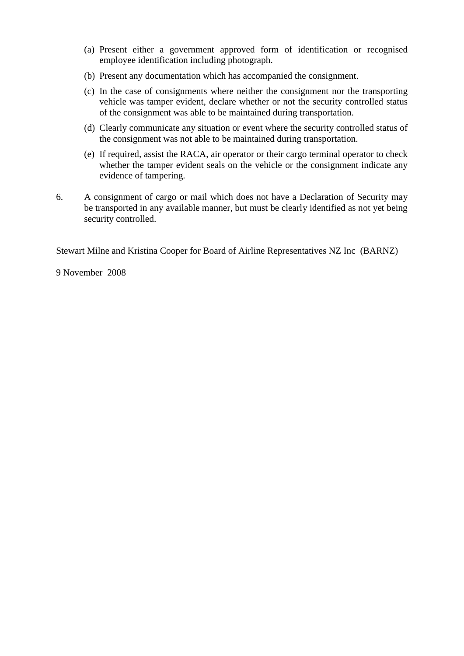- (a) Present either a government approved form of identification or recognised employee identification including photograph.
- (b) Present any documentation which has accompanied the consignment.
- (c) In the case of consignments where neither the consignment nor the transporting vehicle was tamper evident, declare whether or not the security controlled status of the consignment was able to be maintained during transportation.
- (d) Clearly communicate any situation or event where the security controlled status of the consignment was not able to be maintained during transportation.
- (e) If required, assist the RACA, air operator or their cargo terminal operator to check whether the tamper evident seals on the vehicle or the consignment indicate any evidence of tampering.
- 6. A consignment of cargo or mail which does not have a Declaration of Security may be transported in any available manner, but must be clearly identified as not yet being security controlled.

Stewart Milne and Kristina Cooper for Board of Airline Representatives NZ Inc (BARNZ)

9 November 2008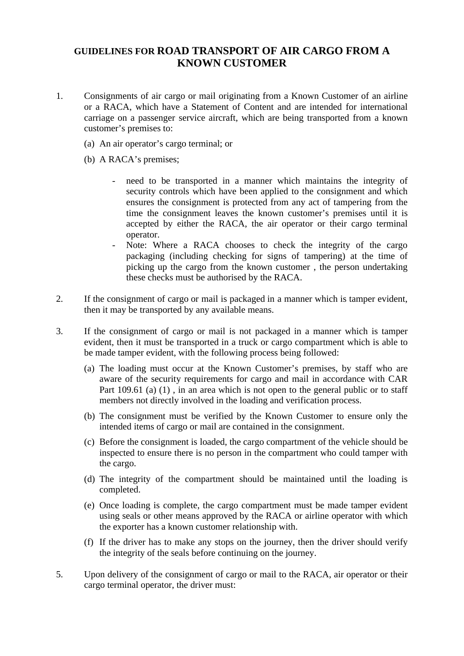## **GUIDELINES FOR ROAD TRANSPORT OF AIR CARGO FROM A KNOWN CUSTOMER**

- 1. Consignments of air cargo or mail originating from a Known Customer of an airline or a RACA, which have a Statement of Content and are intended for international carriage on a passenger service aircraft, which are being transported from a known customer's premises to:
	- (a) An air operator's cargo terminal; or
	- (b) A RACA's premises;
		- need to be transported in a manner which maintains the integrity of security controls which have been applied to the consignment and which ensures the consignment is protected from any act of tampering from the time the consignment leaves the known customer's premises until it is accepted by either the RACA, the air operator or their cargo terminal operator.
		- Note: Where a RACA chooses to check the integrity of the cargo packaging (including checking for signs of tampering) at the time of picking up the cargo from the known customer , the person undertaking these checks must be authorised by the RACA.
- 2. If the consignment of cargo or mail is packaged in a manner which is tamper evident, then it may be transported by any available means.
- 3. If the consignment of cargo or mail is not packaged in a manner which is tamper evident, then it must be transported in a truck or cargo compartment which is able to be made tamper evident, with the following process being followed:
	- (a) The loading must occur at the Known Customer's premises, by staff who are aware of the security requirements for cargo and mail in accordance with CAR Part 109.61 (a) (1), in an area which is not open to the general public or to staff members not directly involved in the loading and verification process.
	- (b) The consignment must be verified by the Known Customer to ensure only the intended items of cargo or mail are contained in the consignment.
	- (c) Before the consignment is loaded, the cargo compartment of the vehicle should be inspected to ensure there is no person in the compartment who could tamper with the cargo.
	- (d) The integrity of the compartment should be maintained until the loading is completed.
	- (e) Once loading is complete, the cargo compartment must be made tamper evident using seals or other means approved by the RACA or airline operator with which the exporter has a known customer relationship with.
	- (f) If the driver has to make any stops on the journey, then the driver should verify the integrity of the seals before continuing on the journey.
- 5. Upon delivery of the consignment of cargo or mail to the RACA, air operator or their cargo terminal operator, the driver must: